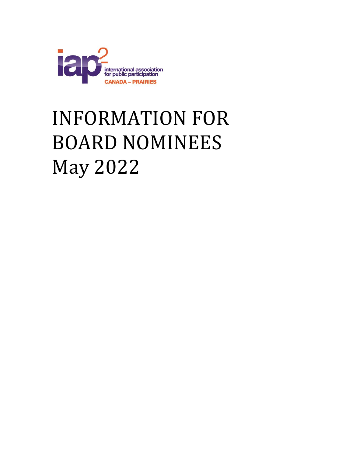

# INFORMATION FOR BOARD NOMINEES May 2022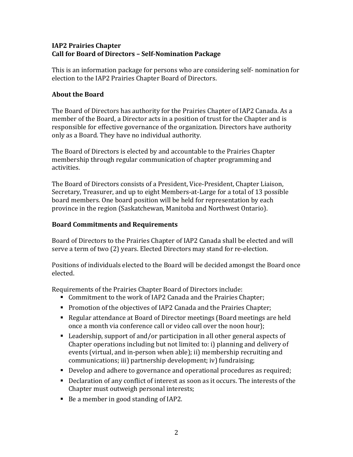# **IAP2 Prairies Chapter Call for Board of Directors – Self-Nomination Package**

This is an information package for persons who are considering self- nomination for election to the IAP2 Prairies Chapter Board of Directors.

# **About the Board**

The Board of Directors has authority for the Prairies Chapter of IAP2 Canada. As a member of the Board, a Director acts in a position of trust for the Chapter and is responsible for effective governance of the organization. Directors have authority only as a Board. They have no individual authority.

The Board of Directors is elected by and accountable to the Prairies Chapter membership through regular communication of chapter programming and activities.

The Board of Directors consists of a President, Vice-President, Chapter Liaison, Secretary, Treasurer, and up to eight Members-at-Large for a total of 13 possible board members. One board position will be held for representation by each province in the region (Saskatchewan, Manitoba and Northwest Ontario).

## **Board Commitments and Requirements**

Board of Directors to the Prairies Chapter of IAP2 Canada shall be elected and will serve a term of two (2) years. Elected Directors may stand for re-election.

Positions of individuals elected to the Board will be decided amongst the Board once elected.

Requirements of the Prairies Chapter Board of Directors include:

- Commitment to the work of IAP2 Canada and the Prairies Chapter;
- Promotion of the objectives of IAP2 Canada and the Prairies Chapter;
- Regular attendance at Board of Director meetings (Board meetings are held once a month via conference call or video call over the noon hour);
- Leadership, support of and/or participation in all other general aspects of Chapter operations including but not limited to: i) planning and delivery of events (virtual, and in-person when able); ii) membership recruiting and communications; iii) partnership development; iv) fundraising;
- Develop and adhere to governance and operational procedures as required;
- Declaration of any conflict of interest as soon as it occurs. The interests of the Chapter must outweigh personal interests;
- Be a member in good standing of IAP2.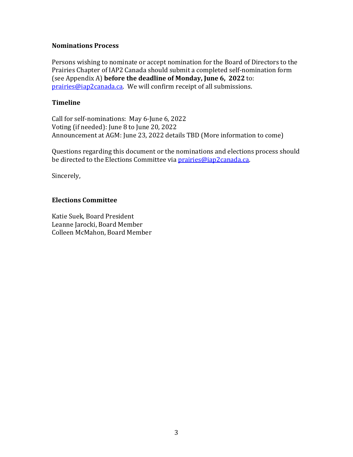#### **Nominations Process**

Persons wishing to nominate or accept nomination for the Board of Directors to the Prairies Chapter of IAP2 Canada should submit a completed self-nomination form (see Appendix A) **before the deadline of Monday, June 6, 2022** to: [prairies@iap2canada.ca.](mailto:prairies@iap2canada.ca) We will confirm receipt of all submissions.

#### **Timeline**

Call for self-nominations: May 6-June 6, 2022 Voting (if needed): June 8 to June 20, 2022 Announcement at AGM: June 23, 2022 details TBD (More information to come)

Questions regarding this document or the nominations and elections process should be directed to the Elections Committee via [prairies@iap2canada.ca.](mailto:prairies@iap2canada.ca)

Sincerely,

#### **Elections Committee**

Katie Suek, Board President Leanne Jarocki, Board Member Colleen McMahon, Board Member